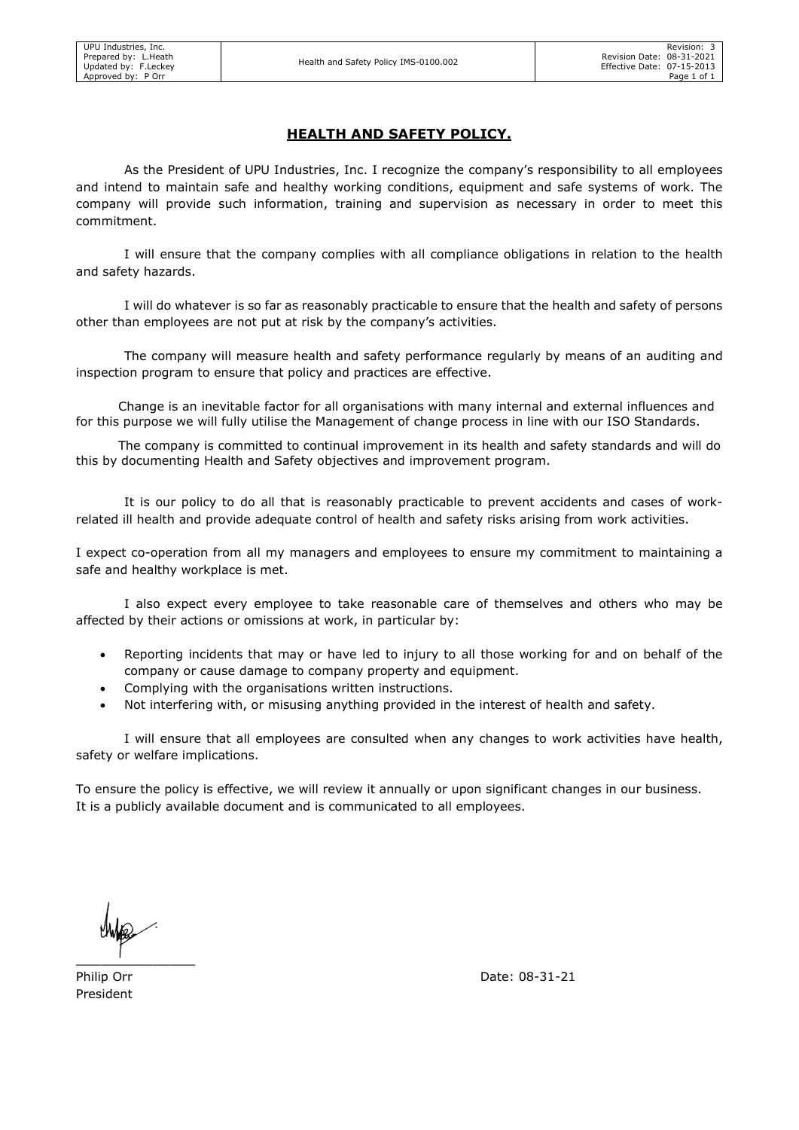## HEALTH AND SAFETY POLICY.

As the President of UPU Industries, Inc. I recognize the company's responsibility to all employees and intend to maintain safe and healthy working conditions, equipment and safe systems of work. The company will provide such information, training and supervision as necessary in order to meet this commitment.

I will ensure that the company complies with all compliance obligations in relation to the health and safety hazards.

I will do whatever is so far as reasonably practicable to ensure that the health and safety of persons other than employees are not put at risk by the company's activities.

The company will measure health and safety performance regularly by means of an auditing and inspection program to ensure that policy and practices are effective.

 Change is an inevitable factor for all organisations with many internal and external influences and for this purpose we will fully utilise the Management of change process in line with our ISO Standards.

 The company is committed to continual improvement in its health and safety standards and will do this by documenting Health and Safety objectives and improvement program.

It is our policy to do all that is reasonably practicable to prevent accidents and cases of workrelated ill health and provide adequate control of health and safety risks arising from work activities.

I expect co-operation from all my managers and employees to ensure my commitment to maintaining a safe and healthy workplace is met.

I also expect every employee to take reasonable care of themselves and others who may be affected by their actions or omissions at work, in particular by:

- Reporting incidents that may or have led to injury to all those working for and on behalf of the company or cause damage to company property and equipment.
- Complying with the organisations written instructions.
- Not interfering with, or misusing anything provided in the interest of health and safety.

I will ensure that all employees are consulted when any changes to work activities have health, safety or welfare implications.

To ensure the policy is effective, we will review it annually or upon significant changes in our business. It is a publicly available document and is communicated to all employees.

 $\frac{1}{\sqrt{2}}$ 

President

Philip Orr Date: 08-31-21